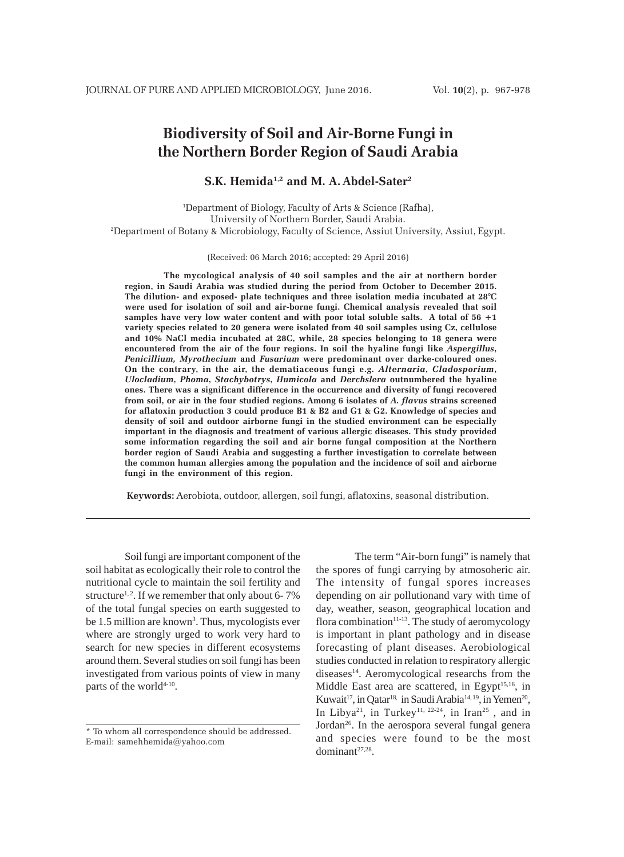# **Biodiversity of Soil and Air-Borne Fungi in the Northern Border Region of Saudi Arabia**

**S.K. Hemida1,2 and M. A.Abdel-Sater2**

1 Department of Biology, Faculty of Arts & Science (Rafha), University of Northern Border, Saudi Arabia. 2 Department of Botany & Microbiology, Faculty of Science, Assiut University, Assiut, Egypt.

(Received: 06 March 2016; accepted: 29 April 2016)

**The mycological analysis of 40 soil samples and the air at northern border region, in Saudi Arabia was studied during the period from October to December 2015. The dilution- and exposed- plate techniques and three isolation media incubated at 28°C were used for isolation of soil and air-borne fungi. Chemical analysis revealed that soil samples have very low water content and with poor total soluble salts. A total of 56 +1 variety species related to 20 genera were isolated from 40 soil samples using Cz, cellulose and 10% NaCl media incubated at 28C, while, 28 species belonging to 18 genera were encountered from the air of the four regions. In soil the hyaline fungi like** *Aspergillus***,** *Penicillium, Myrothecium* **and** *Fusarium* **were predominant over darke-coloured ones. On the contrary, in the air, the dematiaceous fungi e.g.** *Alternaria***,** *Cladosporium***,** *Ulocladium***,** *Phoma***,** *Stachybotrys***,** *Humicola* **and** *Derchslera* **outnumbered the hyaline ones. There was a significant difference in the occurrence and diversity of fungi recovered from soil, or air in the four studied regions. Among 6 isolates of** *A. flavus* **strains screened for aflatoxin production 3 could produce B1 & B2 and G1 & G2. Knowledge of species and density of soil and outdoor airborne fungi in the studied environment can be especially important in the diagnosis and treatment of various allergic diseases. This study provided some information regarding the soil and air borne fungal composition at the Northern border region of Saudi Arabia and suggesting a further investigation to correlate between the common human allergies among the population and the incidence of soil and airborne fungi in the environment of this region.**

**Keywords:** Aerobiota, outdoor, allergen, soil fungi, aflatoxins, seasonal distribution.

Soil fungi are important component of the soil habitat as ecologically their role to control the nutritional cycle to maintain the soil fertility and structure<sup>1, 2</sup>. If we remember that only about 6-7% of the total fungal species on earth suggested to be 1.5 million are known<sup>3</sup>. Thus, mycologists ever where are strongly urged to work very hard to search for new species in different ecosystems around them. Several studies on soil fungi has been investigated from various points of view in many parts of the world<sup>4-10</sup>.

The term "Air-born fungi" is namely that the spores of fungi carrying by atmosoheric air. The intensity of fungal spores increases depending on air pollutionand vary with time of day, weather, season, geographical location and flora combination $11-13$ . The study of aeromycology is important in plant pathology and in disease forecasting of plant diseases. Aerobiological studies conducted in relation to respiratory allergic diseases<sup>14</sup>. Aeromycological researchs from the Middle East area are scattered, in Egypt<sup>15,16</sup>, in Kuwait<sup>17</sup>, in Qatar<sup>18,</sup> in Saudi Arabia<sup>14, 19</sup>, in Yemen<sup>20</sup>, In Libya<sup>21</sup>, in Turkey<sup>11, 22-24</sup>, in Iran<sup>25</sup>, and in Jordan<sup>26</sup>. In the aerospora several fungal genera and species were found to be the most dominant27,28.

<sup>\*</sup> To whom all correspondence should be addressed. E-mail: samehhemida@yahoo.com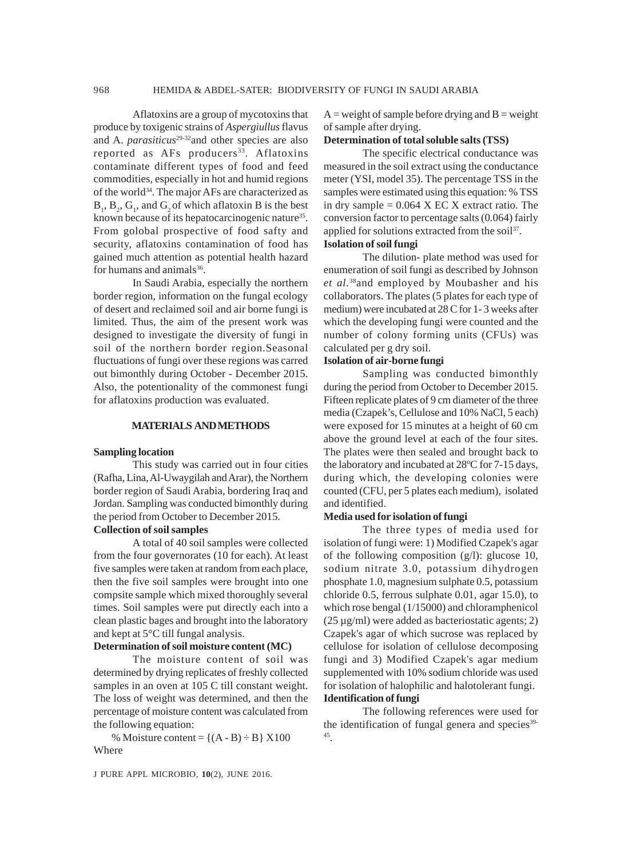Aflatoxins are a group of mycotoxins that produce by toxigenic strains of *Aspergiullus* flavus and A. *parasiticus*<sup>29-32</sup> and other species are also reported as AFs producers<sup>33</sup>. Aflatoxins contaminate different types of food and feed commodities, especially in hot and humid regions of the world<sup>34</sup>. The major AFs are characterized as  $B_1$ ,  $B_2$ ,  $G_1$ , and  $G_2$  of which aflatoxin B is the best known because of its hepatocarcinogenic nature<sup>35</sup>. From golobal prospective of food safty and security, aflatoxins contamination of food has gained much attention as potential health hazard for humans and animals<sup>36</sup>.

In Saudi Arabia, especially the northern border region, information on the fungal ecology of desert and reclaimed soil and air borne fungi is limited. Thus, the aim of the present work was designed to investigate the diversity of fungi in soil of the northern border region.Seasonal fluctuations of fungi over these regions was carred out bimonthly during October - December 2015. Also, the potentionality of the commonest fungi for aflatoxins production was evaluated.

### **MATERIALS AND METHODS**

### **Sampling location**

This study was carried out in four cities (Rafha, Lina, Al-Uwaygilah and Arar), the Northern border region of Saudi Arabia, bordering Iraq and Jordan. Sampling was conducted bimonthly during the period from October to December 2015.

# **Collection of soil samples**

A total of 40 soil samples were collected from the four governorates (10 for each). At least five samples were taken at random from each place, then the five soil samples were brought into one compsite sample which mixed thoroughly several times. Soil samples were put directly each into a clean plastic bages and brought into the laboratory and kept at 5°C till fungal analysis.

### **Determination of soil moisture content (MC)**

The moisture content of soil was determined by drying replicates of freshly collected samples in an oven at 105 C till constant weight. The loss of weight was determined, and then the percentage of moisture content was calculated from the following equation:

% Moisture content =  ${(A - B) \div B} X100$ Where

J PURE APPL MICROBIO*,* **10**(2), JUNE 2016.

 $A =$  weight of sample before drying and  $B =$  weight of sample after drying.

### **Determination of total soluble salts (TSS)**

The specific electrical conductance was measured in the soil extract using the conductance meter (YSI, model 35). The percentage TSS in the samples were estimated using this equation: % TSS in dry sample  $= 0.064$  X EC X extract ratio. The conversion factor to percentage salts (0.064) fairly applied for solutions extracted from the soil<sup>37</sup>. **Isolation of soil fungi**

The dilution- plate method was used for enumeration of soil fungi as described by Johnson *et al.*38and employed by Moubasher and his collaborators. The plates (5 plates for each type of medium) were incubated at 28 C for 1- 3 weeks after which the developing fungi were counted and the number of colony forming units (CFUs) was calculated per g dry soil.

### **Isolation of air-borne fungi**

Sampling was conducted bimonthly during the period from October to December 2015. Fifteen replicate plates of 9 cm diameter of the three media (Czapek's, Cellulose and 10% NaCl, 5 each) were exposed for 15 minutes at a height of 60 cm above the ground level at each of the four sites. The plates were then sealed and brought back to the laboratory and incubated at 28ºC for 7-15 days, during which, the developing colonies were counted (CFU, per 5 plates each medium), isolated and identified.

### **Media used for isolation of fungi**

The three types of media used for isolation of fungi were: 1) Modified Czapek's agar of the following composition (g/l): glucose 10, sodium nitrate 3.0, potassium dihydrogen phosphate 1.0, magnesium sulphate 0.5, potassium chloride 0.5, ferrous sulphate 0.01, agar 15.0), to which rose bengal (1/15000) and chloramphenicol (25 µg/ml) were added as bacteriostatic agents; 2) Czapek's agar of which sucrose was replaced by cellulose for isolation of cellulose decomposing fungi and 3) Modified Czapek's agar medium supplemented with 10% sodium chloride was used for isolation of halophilic and halotolerant fungi. **Identification of fungi**

The following references were used for the identification of fungal genera and species $39$ -45.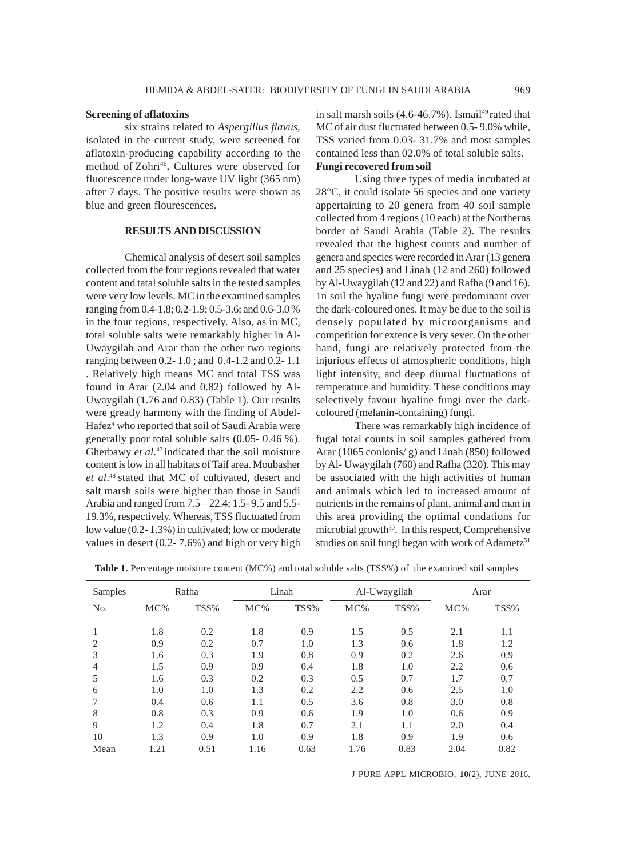### **Screening of aflatoxins**

six strains related to *Aspergillus flavus*, isolated in the current study, were screened for aflatoxin-producing capability according to the method of Zohri<sup>46</sup>. Cultures were observed for fluorescence under long-wave UV light (365 nm) after 7 days. The positive results were shown as blue and green flourescences.

# **RESULTS AND DISCUSSION**

Chemical analysis of desert soil samples collected from the four regions revealed that water content and tatal soluble salts in the tested samples were very low levels. MC in the examined samples ranging from 0.4-1.8; 0.2-1.9; 0.5-3.6; and 0.6-3.0 % in the four regions, respectively. Also, as in MC, total soluble salts were remarkably higher in Al-Uwaygilah and Arar than the other two regions ranging between 0.2- 1.0 ; and 0.4-1.2 and 0.2- 1.1 . Relatively high means MC and total TSS was found in Arar (2.04 and 0.82) followed by Al-Uwaygilah (1.76 and 0.83) (Table 1). Our results were greatly harmony with the finding of Abdel-Hafez<sup>4</sup> who reported that soil of Saudi Arabia were generally poor total soluble salts (0.05- 0.46 %). Gherbawy *et al*. <sup>47</sup> indicated that the soil moisture content is low in all habitats of Taif area. Moubasher *et al*. 48 stated that MC of cultivated, desert and salt marsh soils were higher than those in Saudi Arabia and ranged from 7.5 – 22.4; 1.5- 9.5 and 5.5- 19.3%, respectively. Whereas, TSS fluctuated from low value (0.2- 1.3%) in cultivated; low or moderate values in desert (0.2- 7.6%) and high or very high in salt marsh soils  $(4.6-46.7\%)$ . Ismail<sup>49</sup> rated that MC of air dust fluctuated between 0.5- 9.0% while, TSS varied from 0.03- 31.7% and most samples contained less than 02.0% of total soluble salts. **Fungi recovered from soil**

Using three types of media incubated at 28°C, it could isolate 56 species and one variety appertaining to 20 genera from 40 soil sample collected from 4 regions (10 each) at the Northerns border of Saudi Arabia (Table 2). The results revealed that the highest counts and number of genera and species were recorded in Arar (13 genera and 25 species) and Linah (12 and 260) followed by Al-Uwaygilah (12 and 22) and Rafha (9 and 16). 1n soil the hyaline fungi were predominant over the dark-coloured ones. It may be due to the soil is densely populated by microorganisms and competition for extence is very sever. On the other hand, fungi are relatively protected from the injurious effects of atmospheric conditions, high light intensity, and deep diurnal fluctuations of temperature and humidity. These conditions may selectively favour hyaline fungi over the darkcoloured (melanin-containing) fungi.

There was remarkably high incidence of fugal total counts in soil samples gathered from Arar (1065 conlonis/ g) and Linah (850) followed by Al- Uwaygilah (760) and Rafha (320). This may be associated with the high activities of human and animals which led to increased amount of nutrients in the remains of plant, animal and man in this area providing the optimal condations for microbial growth<sup>50</sup>. In this respect, Comprehensive studies on soil fungi began with work of Adametz<sup>51</sup>

| Samples |      | Rafha |        | Linah |      | Al-Uwaygilah |        | Arar |
|---------|------|-------|--------|-------|------|--------------|--------|------|
| No.     | MC%  | TSS%  | $MC\%$ | TSS%  | MC%  | TSS%         | $MC\%$ | TSS% |
|         | 1.8  | 0.2   | 1.8    | 0.9   | 1.5  | 0.5          | 2.1    | 1.1  |
| 2       | 0.9  | 0.2   | 0.7    | 1.0   | 1.3  | 0.6          | 1.8    | 1.2  |
| 3       | 1.6  | 0.3   | 1.9    | 0.8   | 0.9  | 0.2          | 2.6    | 0.9  |
| 4       | 1.5  | 0.9   | 0.9    | 0.4   | 1.8  | 1.0          | 2.2    | 0.6  |
| 5       | 1.6  | 0.3   | 0.2    | 0.3   | 0.5  | 0.7          | 1.7    | 0.7  |
| 6       | 1.0  | 1.0   | 1.3    | 0.2   | 2.2  | 0.6          | 2.5    | 1.0  |
| 7       | 0.4  | 0.6   | 1.1    | 0.5   | 3.6  | 0.8          | 3.0    | 0.8  |
| 8       | 0.8  | 0.3   | 0.9    | 0.6   | 1.9  | 1.0          | 0.6    | 0.9  |
| 9       | 1.2  | 0.4   | 1.8    | 0.7   | 2.1  | 1.1          | 2.0    | 0.4  |
| 10      | 1.3  | 0.9   | 1.0    | 0.9   | 1.8  | 0.9          | 1.9    | 0.6  |
| Mean    | 1.21 | 0.51  | 1.16   | 0.63  | 1.76 | 0.83         | 2.04   | 0.82 |

**Table 1.** Percentage moisture content (MC%) and total soluble salts (TSS%) of the examined soil samples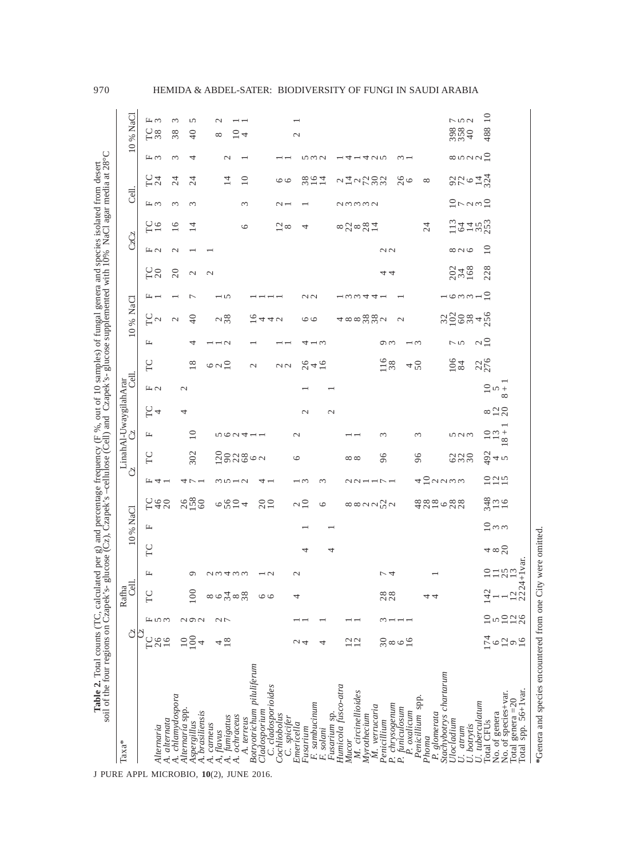| Table 2. Total counts (TC, calc<br>soil of the four regions on Czapek |                                 |                          |                      |                          | ulated per g) and percentage frequency (F %, out of 10 samples) of fungal genera and species isolated from desert<br>'s- glucose (Cz), Czapek's-cellulose (Cell) and Czapek's- glucose supplemented with 10% NaCl agar media at |                 |                       |                          |                   |                                |                         |                    |                          |                          |                 |                           |                |                 |                |             |                                                                                     |               |                    |
|-----------------------------------------------------------------------|---------------------------------|--------------------------|----------------------|--------------------------|---------------------------------------------------------------------------------------------------------------------------------------------------------------------------------------------------------------------------------|-----------------|-----------------------|--------------------------|-------------------|--------------------------------|-------------------------|--------------------|--------------------------|--------------------------|-----------------|---------------------------|----------------|-----------------|----------------|-------------|-------------------------------------------------------------------------------------|---------------|--------------------|
| $Taxa*$                                                               | පි                              |                          | <b>Cell</b><br>Rafha |                          |                                                                                                                                                                                                                                 | 10% NaCl        |                       |                          | ථ                 | ථ                              | LinahAl-UwaygilahArar   | 링.                 |                          |                          | 10 % NaCl       |                           |                |                 | CzCz           |             | d.                                                                                  |               | 10 % NaCl          |
| Alternaria                                                            | පි<br>26<br>16                  | $\mathbb{L}$ to $\omega$ | TC                   | щ                        | TC                                                                                                                                                                                                                              | щ               | <b>CA0</b><br>H40     | $H4 -$                   | TC                | щ                              | FC<br>$\overline{4}$    | H <sub>1</sub>     | FC                       | щ                        | $\frac{C}{C}$   | щ                         | TO<br>20       | H <sub>1</sub>  | $\frac{C}{16}$ | 圧の          | <b>L24</b><br>L54                                                                   | 圧め            | 圧の<br><b>LS</b>    |
| A. chlamydospora<br>4. alternata                                      |                                 |                          |                      |                          |                                                                                                                                                                                                                                 |                 |                       |                          |                   |                                |                         |                    |                          |                          | $\mathcal{L}$   |                           | 20             | $\mathcal{C}$   | 16             | 3           | 24                                                                                  | 3             | 3<br>38            |
| Alternaria spp.<br>A. brasiliensis<br>Aspergillus                     | 100<br>4                        | aga                      | 100                  | ٥                        |                                                                                                                                                                                                                                 |                 | $\frac{26}{158}$      |                          | 302               | $\overline{10}$                | 4                       | $\mathcal{L}$      | 18                       | 4                        | $\overline{40}$ | Γ                         | $\mathcal{L}$  |                 | 14             | $\epsilon$  | 24                                                                                  | 4             | 5<br>40            |
| A. carneus                                                            |                                 |                          | ∞                    |                          |                                                                                                                                                                                                                                 |                 |                       |                          |                   |                                |                         |                    |                          |                          |                 |                           | $\mathbf{C}$   |                 |                |             |                                                                                     |               |                    |
| A. fumigatus<br>A, flavus                                             | $\frac{8}{18}$                  | $\sim$                   | 34<br>$\circ$        | 23433                    |                                                                                                                                                                                                                                 |                 | 6024                  | $30 - 7$                 | 2023002           | 562411                         |                         |                    | $\circ$ $\sim$ $\approx$ | $\overline{c}$           | 28              | ė                         |                |                 |                |             | $\overline{4}$                                                                      | $\mathcal{L}$ | $\sim$<br>$\infty$ |
| A. ochraceus<br>A. terreus                                            |                                 |                          | $\frac{8}{38}$       |                          |                                                                                                                                                                                                                                 |                 |                       |                          |                   |                                |                         |                    |                          |                          |                 |                           |                |                 | $\circ$        | 3           | $\overline{10}$                                                                     |               | $\overline{C}$ +   |
| Botryotrichum piluliferum<br>Cladosporium                             |                                 |                          | $\circ$              | $\overline{\phantom{0}}$ |                                                                                                                                                                                                                                 |                 | $_{10}^{20}$          | 4                        |                   |                                |                         |                    | $\mathcal{L}$            |                          | 2440            |                           |                |                 |                |             |                                                                                     |               |                    |
| C. cladosporioides<br>Cochliobolus<br>C. spicifer                     |                                 |                          | $\circ$              |                          |                                                                                                                                                                                                                                 |                 |                       |                          |                   |                                |                         |                    | $\sim$                   |                          |                 |                           |                |                 | $\frac{2}{8}$  | $\sim$ $-$  | $\circ$                                                                             |               |                    |
| Emericella                                                            | $\sim 4$                        |                          | 4                    | $\mathcal{L}$            |                                                                                                                                                                                                                                 |                 | $\sim$ $\overline{a}$ | $\overline{\phantom{0}}$ | $\circ$           | $\mathcal{L}$                  |                         |                    |                          |                          |                 |                           |                |                 |                |             |                                                                                     |               | $\mathcal{L}$      |
| F. sambucinum<br>Fusarium                                             |                                 |                          |                      |                          | 4                                                                                                                                                                                                                               |                 |                       |                          |                   |                                | $\mathcal{L}$           |                    | 242                      | 4                        | $\circ$         | $\sim$                    |                |                 | 4              |             | 38<br>16                                                                            | nwa           |                    |
| Fusarium sp.<br>F. solani                                             | 4                               |                          |                      |                          | 4                                                                                                                                                                                                                               |                 | $\circ$               | 3                        |                   |                                | $\mathcal{L}$           |                    |                          | ∹ ຕ                      |                 |                           |                |                 |                |             | 14                                                                                  |               |                    |
| Humicola fusco-atra                                                   |                                 |                          |                      |                          |                                                                                                                                                                                                                                 |                 |                       |                          |                   |                                |                         |                    |                          |                          |                 |                           |                |                 |                |             |                                                                                     |               |                    |
| M. circinellioides<br>Myrothecium<br>Mucor                            | $\frac{20}{12}$                 |                          |                      |                          |                                                                                                                                                                                                                                 |                 | 8889922               | 221111                   | $\infty$ $\infty$ |                                |                         |                    |                          |                          | 488882          | $ \omega \omega$          |                |                 | 82881          | amma        | $\frac{1}{4}$ $\frac{1}{2}$ $\frac{1}{2}$ $\frac{1}{2}$ $\frac{1}{2}$ $\frac{1}{2}$ | 141425        |                    |
| M. verrucaria<br>Penicillium                                          |                                 |                          |                      |                          |                                                                                                                                                                                                                                 |                 |                       |                          | 96                | $\sim$                         |                         |                    |                          |                          |                 | 4-                        |                |                 |                |             |                                                                                     |               |                    |
| P. chrysogenum                                                        | $\frac{8}{20}$                  |                          | $\frac{88}{28}$      | レム                       |                                                                                                                                                                                                                                 |                 |                       |                          |                   |                                |                         |                    | 116                      | റന                       | $\mathcal{L}$   |                           | 44             | $\sim$          |                |             |                                                                                     |               |                    |
| P. funiculosum<br>P. oxalicum                                         |                                 |                          |                      |                          |                                                                                                                                                                                                                                 |                 |                       |                          |                   |                                |                         |                    | $4\frac{2}{10}$          | $\overline{\phantom{0}}$ |                 |                           |                |                 |                |             | 26                                                                                  | $\sim$ $-$    |                    |
| Penicillium spp.<br>Phoma                                             |                                 |                          | 4                    |                          |                                                                                                                                                                                                                                 |                 |                       |                          | 96                | $\sim$                         |                         |                    |                          |                          |                 |                           |                |                 | 24             |             | $\infty$                                                                            |               |                    |
| Stachybotrys chartarum<br>P. glomerata                                |                                 |                          | 4                    |                          |                                                                                                                                                                                                                                 |                 |                       |                          |                   |                                |                         |                    |                          |                          |                 |                           |                |                 |                |             |                                                                                     |               |                    |
| Ulocladium<br>U. atrum                                                |                                 |                          |                      |                          |                                                                                                                                                                                                                                 |                 | $\frac{8888}{1200}$   | <b>422233</b>            | 000<br>000        | うこう                            |                         |                    | $^{106}_{84}$            | $\overline{5}$           | $2288 + 5$      | $-$ 0 $\omega$ $\sim$ $-$ | $234$<br>$168$ | $\infty$ $\sim$ |                |             |                                                                                     |               | 750<br>35840       |
| U. botrytis                                                           |                                 |                          |                      |                          |                                                                                                                                                                                                                                 |                 |                       |                          |                   |                                |                         |                    |                          |                          |                 |                           |                |                 | 1341823        | $2 - n - 2$ | $870 - 72$                                                                          | 8.50000       |                    |
| U. tuberculatum<br>Total CFU <sub>s</sub>                             |                                 | $\subseteq$              | Ņ<br>$\overline{4}$  |                          |                                                                                                                                                                                                                                 |                 |                       |                          |                   |                                |                         |                    | 276                      | $\sim$ $\approx$         |                 | $\approx$                 | 228            | $\overline{10}$ |                |             |                                                                                     |               | 10<br>488          |
| No. of genera<br>No. of species+var.                                  |                                 |                          |                      | 2732                     | $4 \times 2$                                                                                                                                                                                                                    | 2m <sub>m</sub> | $343$<br>16           | 225                      | $\frac{3}{4}$ + 5 | $rac{10}{12}$<br>${}^{\infty}$ | $\infty$ $\frac{1}{20}$ | $2n +$<br>$\infty$ |                          |                          |                 |                           |                |                 |                |             |                                                                                     |               |                    |
| Total spp. 56+1var.<br>Total genera $=20$                             | $\frac{74}{6}$ 6 $\frac{29}{6}$ | $\frac{200}{100}$        |                      | $\frac{12}{2224+1}$ var. |                                                                                                                                                                                                                                 |                 |                       |                          |                   |                                |                         |                    |                          |                          |                 |                           |                |                 |                |             |                                                                                     |               |                    |
|                                                                       |                                 |                          |                      |                          |                                                                                                                                                                                                                                 |                 |                       |                          |                   |                                |                         |                    |                          |                          |                 |                           |                |                 |                |             |                                                                                     |               |                    |

\*Genera and species encountered from one City were omitted. **\***Genera and species encountered from one City were omitted.

970 HEMIDA & ABDEL-SATER: BIODIVERSITY OF FUNGI IN SAUDI ARABIA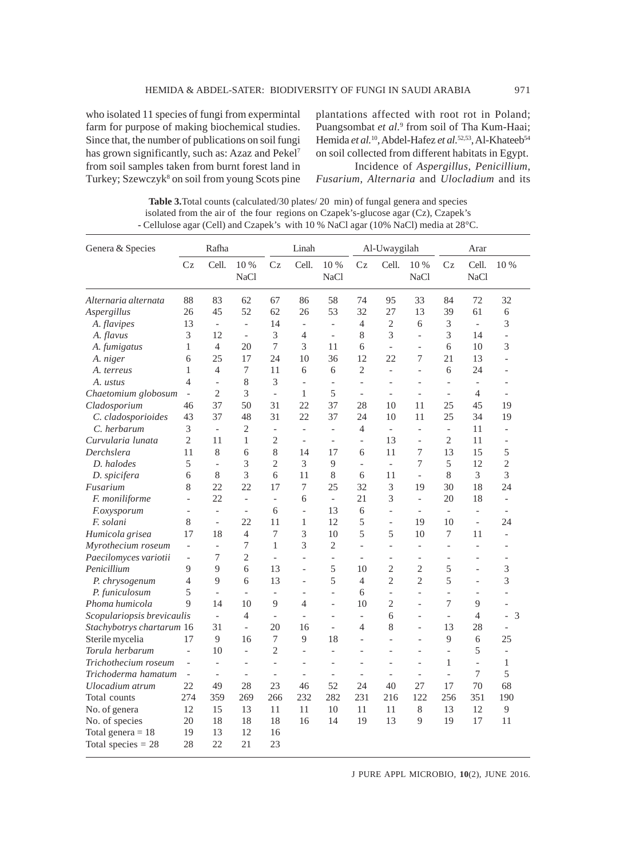who isolated 11 species of fungi from expermintal farm for purpose of making biochemical studies. Since that, the number of publications on soil fungi has grown significantly, such as: Azaz and Pekel<sup>7</sup> from soil samples taken from burnt forest land in Turkey; Szewczyk<sup>8</sup> on soil from young Scots pine

plantations affected with root rot in Poland; Puangsombat et al.<sup>9</sup> from soil of Tha Kum-Haai; Hemida *et al.*<sup>10</sup>, Abdel-Hafez *et al.*<sup>52,53</sup>, Al-Khateeb<sup>54</sup> on soil collected from different habitats in Egypt. Incidence of *Aspergillus*, *Penicillium*,

*Fusarium*, *Alternaria* and *Ulocladium* and its

| <b>Table 3.</b> Total counts (calculated/30 plates/20 min) of fungal genera and species |
|-----------------------------------------------------------------------------------------|
| isolated from the air of the four regions on Czapek's-glucose agar (Cz), Czapek's       |
| - Cellulose agar (Cell) and Czapek's with 10 % NaCl agar (10% NaCl) media at 28 °C.     |

| Genera & Species           |                          | Rafha                    |                          |                          | Linah                    |                          |                          | Al-Uwaygilah             |                          |                          | Arar                     |                          |
|----------------------------|--------------------------|--------------------------|--------------------------|--------------------------|--------------------------|--------------------------|--------------------------|--------------------------|--------------------------|--------------------------|--------------------------|--------------------------|
|                            | Cz                       | Cell.                    | 10 %<br><b>NaCl</b>      | Cz                       | Cell.                    | 10 %<br>NaCl             | Cz                       | Cell.                    | 10 %<br><b>NaCl</b>      | $C_{Z}$                  | Cell.<br><b>NaCl</b>     | 10 %                     |
| Alternaria alternata       | 88                       | 83                       | 62                       | 67                       | 86                       | 58                       | 74                       | 95                       | 33                       | 84                       | 72                       | 32                       |
| Aspergillus                | 26                       | 45                       | 52                       | 62                       | 26                       | 53                       | 32                       | 27                       | 13                       | 39                       | 61                       | 6                        |
| A. flavipes                | 13                       | $\overline{\phantom{0}}$ | $\overline{a}$           | 14                       | $\overline{\phantom{0}}$ | $\overline{a}$           | $\overline{4}$           | $\mathfrak{2}$           | 6                        | 3                        | $\frac{1}{2}$            | 3                        |
| A. flavus                  | 3                        | 12                       | $\blacksquare$           | 3                        | 4                        | $\overline{a}$           | 8                        | 3                        | $\overline{a}$           | 3                        | 14                       | $\overline{\phantom{0}}$ |
| A. fumigatus               | $\mathbf{1}$             | $\overline{4}$           | 20                       | 7                        | 3                        | 11                       | 6                        | $\overline{a}$           | $\overline{a}$           | 6                        | 10                       | 3                        |
| A. niger                   | 6                        | 25                       | 17                       | 24                       | 10                       | 36                       | 12                       | 22                       | 7                        | 21                       | 13                       | $\overline{\phantom{a}}$ |
| A. terreus                 | 1                        | 4                        | 7                        | 11                       | 6                        | 6                        | $\overline{2}$           | $\overline{\phantom{0}}$ | $\overline{a}$           | 6                        | 24                       | $\overline{a}$           |
| A. ustus                   | $\overline{4}$           | $\overline{\phantom{0}}$ | 8                        | 3                        | $\overline{a}$           | $\overline{a}$           | $\overline{\phantom{0}}$ |                          | $\overline{a}$           | $\qquad \qquad \Box$     | $\overline{a}$           | $\overline{a}$           |
| Chaetomium globosum        | $\bar{a}$                | 2                        | 3                        | $\overline{\phantom{a}}$ | 1                        | 5                        | $\overline{\phantom{a}}$ | $\overline{\phantom{a}}$ | $\overline{a}$           | $\overline{a}$           | 4                        | $\overline{\phantom{a}}$ |
| Cladosporium               | 46                       | 37                       | 50                       | 31                       | 22                       | 37                       | 28                       | 10                       | 11                       | 25                       | 45                       | 19                       |
| C. cladosporioides         | 43                       | 37                       | 48                       | 31                       | 22                       | 37                       | 24                       | 10                       | 11                       | 25                       | 34                       | 19                       |
| C. herbarum                | 3                        | $\overline{a}$           | $\mathfrak{2}$           | $\overline{a}$           | $\overline{a}$           | $\overline{\phantom{a}}$ | $\overline{4}$           | $\overline{\phantom{a}}$ | $\overline{a}$           | $\overline{\phantom{0}}$ | 11                       | $\overline{a}$           |
| Curvularia lunata          | 2                        | 11                       | 1                        | 2                        | $\overline{\phantom{a}}$ | $\overline{\phantom{a}}$ | $\qquad \qquad -$        | 13                       | $\overline{\phantom{0}}$ | 2                        | 11                       | $\qquad \qquad -$        |
| Derchslera                 | 11                       | 8                        | 6                        | 8                        | 14                       | 17                       | 6                        | 11                       | 7                        | 13                       | 15                       | 5                        |
| D. halodes                 | 5                        | $\overline{a}$           | 3                        | $\overline{2}$           | 3                        | 9                        | $\overline{a}$           | $\overline{a}$           | $\tau$                   | 5                        | 12                       | $\overline{2}$           |
| D. spicifera               | 6                        | 8                        | 3                        | 6                        | 11                       | 8                        | 6                        | 11                       | $\overline{a}$           | 8                        | 3                        | 3                        |
| Fusarium                   | 8                        | 22                       | 22                       | 17                       | 7                        | 25                       | 32                       | 3                        | 19                       | 30                       | 18                       | 24                       |
| F. moniliforme             | $\overline{a}$           | 22                       | $\overline{\phantom{a}}$ | $\overline{a}$           | 6                        | $\overline{\phantom{a}}$ | 21                       | 3                        | $\frac{1}{2}$            | 20                       | 18                       | $\overline{a}$           |
| F.oxysporum                | $\qquad \qquad -$        | $\overline{a}$           | $\bar{\phantom{a}}$      | 6                        | $\overline{a}$           | 13                       | 6                        | $\overline{\phantom{0}}$ | $\overline{a}$           | $\overline{\phantom{m}}$ | $\overline{a}$           | $\overline{a}$           |
| F. solani                  | 8                        | $\bar{\phantom{a}}$      | 22                       | 11                       | 1                        | 12                       | 5                        | $\overline{a}$           | 19                       | 10                       | $\overline{a}$           | 24                       |
| Humicola grisea            | 17                       | 18                       | $\overline{4}$           | 7                        | 3                        | 10                       | 5                        | 5                        | 10                       | 7                        | 11                       | $\overline{a}$           |
| Myrothecium roseum         | $\overline{\phantom{a}}$ | $\bar{\phantom{a}}$      | 7                        | 1                        | 3                        | $\overline{2}$           | $\overline{\phantom{0}}$ | $\overline{a}$           | $\overline{\phantom{0}}$ | $\overline{a}$           | $\overline{\phantom{0}}$ | $\overline{a}$           |
| Paecilomyces variotii      | $\overline{a}$           | 7                        | $\overline{2}$           | $\overline{a}$           | $\overline{a}$           | $\overline{a}$           | $\overline{a}$           | $\overline{a}$           | $\overline{a}$           | $\overline{a}$           | $\overline{a}$           | $\overline{a}$           |
| Penicillium                | 9                        | 9                        | 6                        | 13                       | $\overline{a}$           | 5                        | 10                       | $\overline{c}$           | $\overline{c}$           | 5                        | $\overline{a}$           | 3                        |
| P. chrysogenum             | $\overline{4}$           | 9                        | 6                        | 13                       | $\qquad \qquad \Box$     | 5                        | 4                        | $\overline{2}$           | $\overline{2}$           | 5                        | $\overline{a}$           | 3                        |
| P. funiculosum             | 5                        | $\overline{\phantom{a}}$ | $\overline{a}$           | $\overline{a}$           | $\overline{\phantom{a}}$ | $\overline{a}$           | 6                        | $\overline{a}$           | $\overline{\phantom{0}}$ | $\overline{a}$           | $\overline{a}$           | $\overline{a}$           |
| Phoma humicola             | 9                        | 14                       | 10                       | 9                        | $\overline{4}$           | $\overline{a}$           | 10                       | $\overline{2}$           | $\overline{a}$           | 7                        | 9                        | $\overline{a}$           |
| Scopulariopsis brevicaulis |                          | $\overline{\phantom{0}}$ | $\overline{4}$           | $\overline{a}$           | $\overline{\phantom{0}}$ | $\overline{a}$           | $\overline{a}$           | 6                        | $\overline{a}$           | $\overline{a}$           | 4                        | 3<br>$\overline{a}$      |
| Stachybotrys chartarum 16  |                          | 31                       | $\overline{\phantom{a}}$ | 20                       | 16                       | $\qquad \qquad \Box$     | 4                        | 8                        | $\overline{\phantom{0}}$ | 13                       | 28                       | $\qquad \qquad -$        |
| Sterile mycelia            | 17                       | $\overline{9}$           | 16                       | 7                        | 9                        | 18                       | $\overline{a}$           | $\overline{a}$           | $\overline{a}$           | 9                        | 6                        | 25                       |
| Torula herbarum            | $\overline{a}$           | 10                       | $\frac{1}{2}$            | $\overline{2}$           | $\overline{a}$           | $\overline{a}$           | $\overline{a}$           | $\overline{a}$           | $\overline{a}$           | $\overline{a}$           | 5                        | $\overline{a}$           |
| Trichothecium roseum       | $\overline{a}$           | $\overline{a}$           | $\overline{a}$           | $\overline{a}$           | $\overline{a}$           | $\overline{a}$           | $\overline{a}$           | $\overline{a}$           | $\overline{a}$           | 1                        | $\overline{a}$           | $\mathbf{1}$             |
| Trichoderma hamatum        | $\overline{\phantom{a}}$ | $\overline{\phantom{a}}$ | $\qquad \qquad \Box$     | $\overline{a}$           | $\qquad \qquad \Box$     | $\overline{a}$           | $\qquad \qquad -$        | $\overline{a}$           | $\overline{a}$           | $\overline{a}$           | 7                        | 5                        |
| Ulocadium atrum            | 22                       | 49                       | 28                       | 23                       | 46                       | 52                       | 24                       | 40                       | 27                       | 17                       | 70                       | 68                       |
| Total counts               | 274                      | 359                      | 269                      | 266                      | 232                      | 282                      | 231                      | 216                      | 122                      | 256                      | 351                      | 190                      |
| No. of genera              | 12                       | 15                       | 13                       | 11                       | 11                       | 10                       | 11                       | 11                       | 8                        | 13                       | 12                       | 9                        |
| No. of species             | 20                       | 18                       | 18                       | 18                       | 16                       | 14                       | 19                       | 13                       | 9                        | 19                       | 17                       | 11                       |
| Total genera = $18$        | 19                       | 13                       | 12                       | 16                       |                          |                          |                          |                          |                          |                          |                          |                          |
| Total species $= 28$       | 28                       | 22                       | 21                       | 23                       |                          |                          |                          |                          |                          |                          |                          |                          |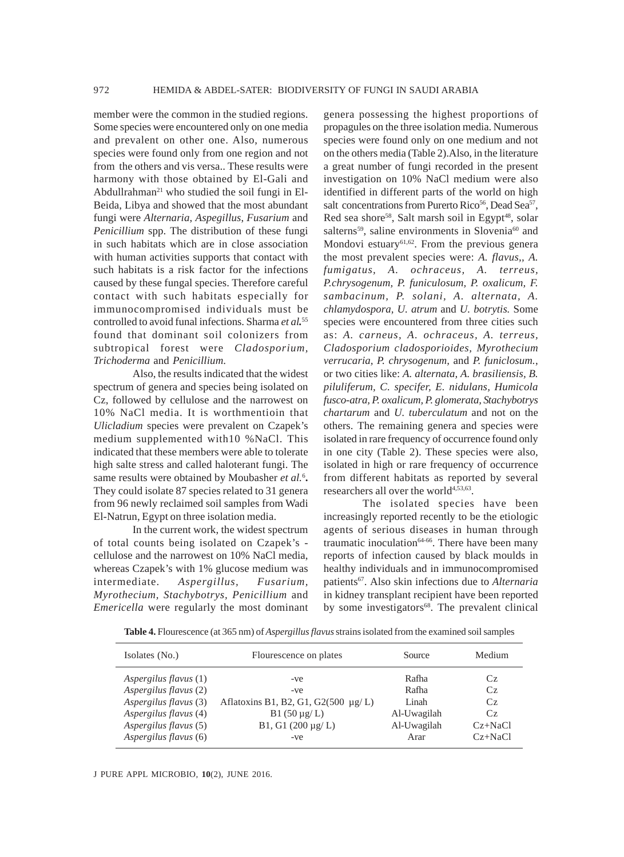member were the common in the studied regions. Some species were encountered only on one media and prevalent on other one. Also, numerous species were found only from one region and not from the others and vis versa.. These results were harmony with those obtained by El-Gali and Abdullrahman<sup>21</sup> who studied the soil fungi in El-Beida, Libya and showed that the most abundant fungi were *Alternaria*, *Aspegillus*, *Fusarium* and *Penicillium* spp. The distribution of these fungi in such habitats which are in close association with human activities supports that contact with such habitats is a risk factor for the infections caused by these fungal species. Therefore careful contact with such habitats especially for immunocompromised individuals must be controlled to avoid funal infections. Sharma *et al.* 55 found that dominant soil colonizers from subtropical forest were *Cladosporium, Trichoderma* and *Penicillium*.

Also, the results indicated that the widest spectrum of genera and species being isolated on Cz, followed by cellulose and the narrowest on 10% NaCl media. It is worthmentioin that *Ulicladium* species were prevalent on Czapek's medium supplemented with10 %NaCl. This indicated that these members were able to tolerate high salte stress and called haloterant fungi. The same results were obtained by Moubasher et al.<sup>6</sup>. They could isolate 87 species related to 31 genera from 96 newly reclaimed soil samples from Wadi El-Natrun, Egypt on three isolation media.

In the current work, the widest spectrum of total counts being isolated on Czapek's cellulose and the narrowest on 10% NaCl media, whereas Czapek's with 1% glucose medium was intermediate. *Aspergillus, Fusarium, Myrothecium, Stachybotrys, Penicillium* and *Emericella* were regularly the most dominant

genera possessing the highest proportions of propagules on the three isolation media. Numerous species were found only on one medium and not on the others media (Table 2).Also, in the literature a great number of fungi recorded in the present investigation on 10% NaCl medium were also identified in different parts of the world on high salt concentrations from Purerto Rico<sup>56</sup>, Dead Sea<sup>57</sup>, Red sea shore<sup>58</sup>, Salt marsh soil in Egypt<sup>48</sup>, solar salterns<sup>59</sup>, saline environments in Slovenia<sup>60</sup> and Mondovi estuary<sup>61,62</sup>. From the previous genera the most prevalent species were: *A. flavus,, A. fumigatus, A. ochraceus, A. terreus, P.chrysogenum, P. funiculosum, P. oxalicum, F. sambacinum, P. solani, A. alternata, A. chlamydospora, U. atrum* and *U. botrytis.* Some species were encountered from three cities such as: *A. carneus, A. ochraceus, A. terreus, Cladosporium cladosporioides, Myrothecium verrucaria, P. chrysogenum,* and *P. funiclosum.*, or two cities like: *A. alternata, A. brasiliensis, B. piluliferum, C. specifer, E. nidulans, Humicola fusco-atra, P. oxalicum, P. glomerata, Stachybotrys chartarum* and *U. tuberculatum* and not on the others. The remaining genera and species were isolated in rare frequency of occurrence found only in one city (Table 2). These species were also, isolated in high or rare frequency of occurrence from different habitats as reported by several researchers all over the world<sup>4,53,63</sup>.

The isolated species have been increasingly reported recently to be the etiologic agents of serious diseases in human through traumatic inoculation $64-66$ . There have been many reports of infection caused by black moulds in healthy individuals and in immunocompromised patients67. Also skin infections due to *Alternaria* in kidney transplant recipient have been reported by some investigators<sup>68</sup>. The prevalent clinical

Table 4. Flourescence (at 365 nm) of *Aspergillus flavus* strains isolated from the examined soil samples

| Isolates (No.)        | Flourescence on plates                   | Source      | Medium    |
|-----------------------|------------------------------------------|-------------|-----------|
| Aspergilus flavus (1) | -ve                                      | Rafha       | Cz.       |
| Aspergilus flavus (2) | -ve                                      | Rafha       | Cz.       |
| Aspergilus flavus (3) | Aflatoxins B1, B2, G1, G2(500 $\mu$ g/L) | Linah       | $C_{Z}$   |
| Aspergilus flavus (4) | $B1(50 \mu g/L)$                         | Al-Uwagilah | $C_{Z}$   |
| Aspergilus flavus (5) | B1, G1 $(200 \mu g/L)$                   | Al-Uwagilah | $Cz+NaCl$ |
| Aspergilus flavus (6) | -ve                                      | Arar        | $Cz+NaCl$ |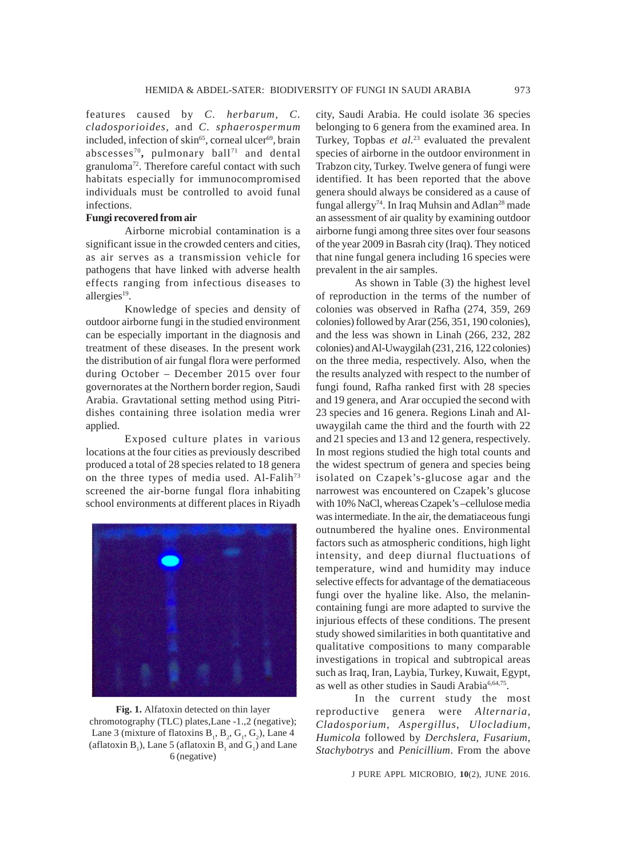features caused by *C. herbarum, C. cladosporioides*, and *C. sphaerospermum* included, infection of skin<sup>65</sup>, corneal ulcer $69$ , brain abscesses<sup>70</sup>, pulmonary ball<sup>71</sup> and dental granuloma72. Therefore careful contact with such habitats especially for immunocompromised individuals must be controlled to avoid funal infections.

# **Fungi recovered from air**

Airborne microbial contamination is a significant issue in the crowded centers and cities, as air serves as a transmission vehicle for pathogens that have linked with adverse health effects ranging from infectious diseases to allergies<sup>19</sup>.

Knowledge of species and density of outdoor airborne fungi in the studied environment can be especially important in the diagnosis and treatment of these diseases. In the present work the distribution of air fungal flora were performed during October – December 2015 over four governorates at the Northern border region, Saudi Arabia. Gravtational setting method using Pitridishes containing three isolation media wrer applied.

Exposed culture plates in various locations at the four cities as previously described produced a total of 28 species related to 18 genera on the three types of media used. Al-Falih<sup>73</sup> screened the air-borne fungal flora inhabiting school environments at different places in Riyadh



**Fig. 1.** Alfatoxin detected on thin layer chromotography (TLC) plates,Lane -1.,2 (negative); Lane 3 (mixture of flatoxins  $B_1$ ,  $B_2$ ,  $G_1$ ,  $G_2$ ), Lane 4 (aflatoxin  $B_1$ ), Lane 5 (aflatoxin  $B_1$  and  $G_1$ ) and Lane 6 (negative)

city, Saudi Arabia. He could isolate 36 species belonging to 6 genera from the examined area. In Turkey, Topbas *et al.*<sup>23</sup> evaluated the prevalent species of airborne in the outdoor environment in Trabzon city, Turkey. Twelve genera of fungi were identified. It has been reported that the above genera should always be considered as a cause of fungal allergy<sup>74</sup>. In Iraq Muhsin and Adlan<sup>28</sup> made an assessment of air quality by examining outdoor airborne fungi among three sites over four seasons of the year 2009 in Basrah city (Iraq). They noticed that nine fungal genera including 16 species were prevalent in the air samples.

As shown in Table (3) the highest level of reproduction in the terms of the number of colonies was observed in Rafha (274, 359, 269 colonies) followed by Arar (256, 351, 190 colonies), and the less was shown in Linah (266, 232, 282 colonies) and Al-Uwaygilah (231, 216, 122 colonies) on the three media, respectively. Also, when the the results analyzed with respect to the number of fungi found, Rafha ranked first with 28 species and 19 genera, and Arar occupied the second with 23 species and 16 genera. Regions Linah and Aluwaygilah came the third and the fourth with 22 and 21 species and 13 and 12 genera, respectively. In most regions studied the high total counts and the widest spectrum of genera and species being isolated on Czapek's-glucose agar and the narrowest was encountered on Czapek's glucose with 10% NaCl, whereas Czapek's –cellulose media was intermediate. In the air, the dematiaceous fungi outnumbered the hyaline ones. Environmental factors such as atmospheric conditions, high light intensity, and deep diurnal fluctuations of temperature, wind and humidity may induce selective effects for advantage of the dematiaceous fungi over the hyaline like. Also, the melanincontaining fungi are more adapted to survive the injurious effects of these conditions. The present study showed similarities in both quantitative and qualitative compositions to many comparable investigations in tropical and subtropical areas such as Iraq, Iran, Laybia, Turkey, Kuwait, Egypt, as well as other studies in Saudi Arabia<sup>6,64,75</sup>.

In the current study the most reproductive genera were *Alternaria*, *Cladosporium*, *Aspergillus*, *Ulocladium*, *Humicola* followed by *Derchslera*, *Fusarium*, *Stachybotrys* and *Penicillium*. From the above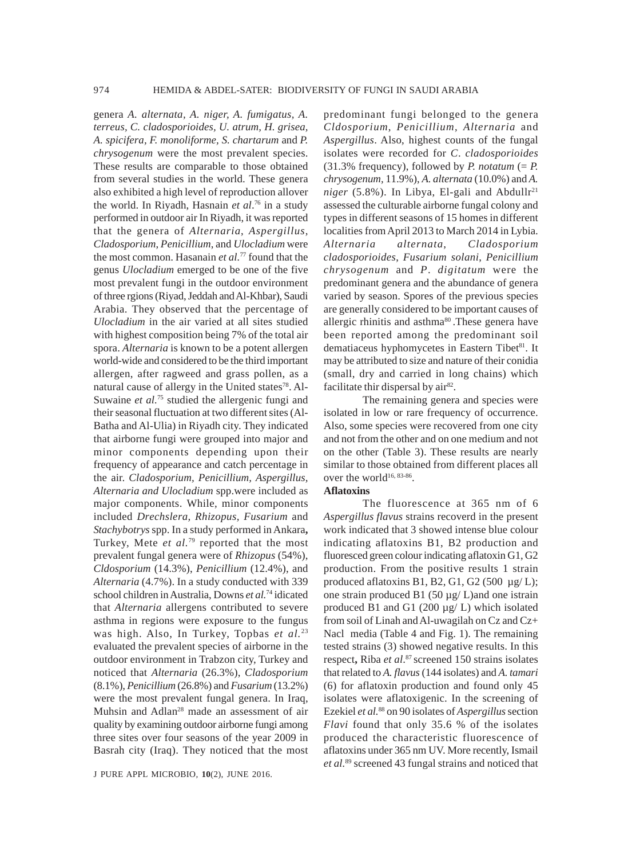genera *A. alternata, A. niger, A. fumigatus, A. terreus, C. cladosporioides, U. atrum, H. grisea, A. spicifera, F. monoliforme, S. chartarum* and *P. chrysogenum* were the most prevalent species. These results are comparable to those obtained from several studies in the world. These genera also exhibited a high level of reproduction allover the world. In Riyadh, Hasnain *et al*. 76 in a study performed in outdoor air In Riyadh, it was reported that the genera of *Alternaria*, *Aspergillus*, *Cladosporium*, *Penicillium*, and *Ulocladium* were the most common. Hasanain *et al.*<sup>77</sup> found that the genus *Ulocladium* emerged to be one of the five most prevalent fungi in the outdoor environment of three rgions (Riyad, Jeddah and Al-Khbar), Saudi Arabia. They observed that the percentage of *Ulocladium* in the air varied at all sites studied with highest composition being 7% of the total air spora. *Alternaria* is known to be a potent allergen world-wide and considered to be the third important allergen, after ragweed and grass pollen, as a natural cause of allergy in the United states<sup>78</sup>. Al-Suwaine *et al.*<sup>75</sup> studied the allergenic fungi and their seasonal fluctuation at two different sites (Al-Batha and Al-Ulia) in Riyadh city. They indicated that airborne fungi were grouped into major and minor components depending upon their frequency of appearance and catch percentage in the air. *Cladosporium, Penicillium, Aspergillus, Alternaria and Ulocladium* spp.were included as major components. While, minor components included *Drechslera, Rhizopus, Fusarium* and *Stachybotrys* spp. In a study performed in Ankara**,** Turkey, Mete *et al.*79 reported that the most prevalent fungal genera were of *Rhizopus* (54%), *Cldosporium* (14.3%), *Penicillium* (12.4%), and *Alternaria* (4.7%). In a study conducted with 339 school children in Australia, Downs *et al.*<sup>74</sup> idicated that *Alternaria* allergens contributed to severe asthma in regions were exposure to the fungus was high. Also, In Turkey, Topbas *et al.*<sup>23</sup> evaluated the prevalent species of airborne in the outdoor environment in Trabzon city, Turkey and noticed that *Alternaria* (26.3%), *Cladosporium* (8.1%), *Penicillium* (26.8%) and *Fusarium* (13.2%) were the most prevalent fungal genera. In Iraq, Muhsin and Adlan<sup>28</sup> made an assessment of air quality by examining outdoor airborne fungi among three sites over four seasons of the year 2009 in Basrah city (Iraq). They noticed that the most

J PURE APPL MICROBIO*,* **10**(2), JUNE 2016.

predominant fungi belonged to the genera *Cldosporium*, *Penicillium*, *Alternaria* and *Aspergillus*. Also, highest counts of the fungal isolates were recorded for *C*. *cladosporioides*  $(31.3\% \text{ frequency})$ , followed by *P. notatum* (= *P.*) *chrysogenum,* 11.9%), *A. alternata* (10.0%) and *A.*  $niger$  (5.8%). In Libya, El-gali and Abdullr<sup>21</sup> assessed the culturable airborne fungal colony and types in different seasons of 15 homes in different localities from April 2013 to March 2014 in Lybia. *Alternaria alternata*, *Cladosporium cladosporioides*, *Fusarium solani*, *Penicillium chrysogenum* and *P*. *digitatum* were the predominant genera and the abundance of genera varied by season. Spores of the previous species are generally considered to be important causes of allergic rhinitis and asthma<sup>80</sup>. These genera have been reported among the predominant soil dematiaceus hyphomycetes in Eastern Tibet<sup>81</sup>. It may be attributed to size and nature of their conidia (small, dry and carried in long chains) which facilitate thir dispersal by air<sup>82</sup>.

The remaining genera and species were isolated in low or rare frequency of occurrence. Also, some species were recovered from one city and not from the other and on one medium and not on the other (Table 3). These results are nearly similar to those obtained from different places all over the world<sup>16, 83-86</sup>.

### **Aflatoxins**

The fluorescence at 365 nm of 6 *Aspergillus flavus* strains recoverd in the present work indicated that 3 showed intense blue colour indicating aflatoxins B1, B2 production and fluoresced green colour indicating aflatoxin G1, G2 production. From the positive results 1 strain produced aflatoxins B1, B2, G1, G2 (500  $\mu$ g/L); one strain produced B1 (50  $\mu$ g/ L)and one istrain produced B1 and G1 (200 µg/ L) which isolated from soil of Linah and Al-uwagilah on Cz and Cz+ Nacl media (Table 4 and Fig. 1). The remaining tested strains (3) showed negative results. In this respect**,** Riba *et al*. <sup>87</sup> screened 150 strains isolates that related to *A. flavus* (144 isolates) and *A. tamari* (6) for aflatoxin production and found only 45 isolates were aflatoxigenic. In the screening of Ezekiel *et al.*88 on 90 isolates of *Aspergillus* section *Flavi* found that only 35.6 % of the isolates produced the characteristic fluorescence of aflatoxins under 365 nm UV. More recently, Ismail *et al.*89 screened 43 fungal strains and noticed that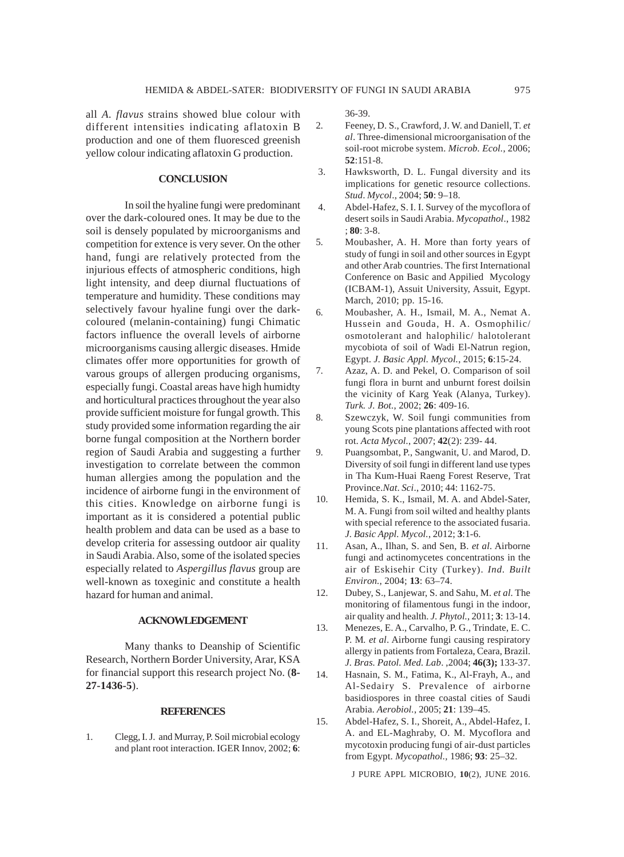all *A. flavus* strains showed blue colour with different intensities indicating aflatoxin B production and one of them fluoresced greenish yellow colour indicating aflatoxin G production.

# **CONCLUSION**

In soil the hyaline fungi were predominant over the dark-coloured ones. It may be due to the soil is densely populated by microorganisms and competition for extence is very sever. On the other hand, fungi are relatively protected from the injurious effects of atmospheric conditions, high light intensity, and deep diurnal fluctuations of temperature and humidity. These conditions may selectively favour hyaline fungi over the darkcoloured (melanin-containing) fungi Chimatic factors influence the overall levels of airborne microorganisms causing allergic diseases. Hmide climates offer more opportunities for growth of varous groups of allergen producing organisms, especially fungi. Coastal areas have high humidty and horticultural practices throughout the year also provide sufficient moisture for fungal growth. This study provided some information regarding the air borne fungal composition at the Northern border region of Saudi Arabia and suggesting a further investigation to correlate between the common human allergies among the population and the incidence of airborne fungi in the environment of this cities. Knowledge on airborne fungi is important as it is considered a potential public health problem and data can be used as a base to develop criteria for assessing outdoor air quality in Saudi Arabia. Also, some of the isolated species especially related to *Aspergillus flavus* group are well-known as toxeginic and constitute a health hazard for human and animal.

### **ACKNOWLEDGEMENT**

Many thanks to Deanship of Scientific Research, Northern Border University, Arar, KSA for financial support this research project No. (**8- 27-1436-5**).

### **REFERENCES**

1. Clegg, I. J. and Murray, P. Soil microbial ecology and plant root interaction. IGER Innov, 2002; **6**: 36-39.

- 2. Feeney, D. S., Crawford, J. W. and Daniell, T. *et al*. Three-dimensional microorganisation of the soil-root microbe system. *Microb. Ecol.*, 2006; **52**:151-8.
- 3. Hawksworth, D. L. Fungal diversity and its implications for genetic resource collections. *Stud*. *Mycol*., 2004; **50**: 9–18.
- 4. Abdel-Hafez, S. I. I. Survey of the mycoflora of desert soils in Saudi Arabia. *Mycopathol*., 1982 ; **80**: 3-8.
- 5. Moubasher, A. H. More than forty years of study of fungi in soil and other sources in Egypt and other Arab countries. The first International Conference on Basic and Appilied Mycology (ICBAM-1), Assuit University, Assuit, Egypt. March, 2010; pp. 15-16.
- 6. Moubasher, A. H., Ismail, M. A., Nemat A. Hussein and Gouda, H. A. Osmophilic/ osmotolerant and halophilic/ halotolerant mycobiota of soil of Wadi El-Natrun region, Egypt. *J. Basic Appl. Mycol.*, 2015; **6**:15-24.
- 7. Azaz, A. D. and Pekel, O. Comparison of soil fungi flora in burnt and unburnt forest doilsin the vicinity of Karg Yeak (Alanya, Turkey). *Turk. J. Bot.*, 2002; **26**: 409-16.
- 8. Szewczyk, W. Soil fungi communities from young Scots pine plantations affected with root rot. *Acta Mycol.*, 2007; **42**(2): 239- 44.
- 9. Puangsombat, P., Sangwanit, U. and Marod, D. Diversity of soil fungi in different land use types in Tha Kum-Huai Raeng Forest Reserve, Trat Province.*Nat*. *Sci*., 2010; 44: 1162-75.
- 10. Hemida, S. K., Ismail, M. A. and Abdel-Sater, M. A. Fungi from soil wilted and healthy plants with special reference to the associated fusaria. *J. Basic Appl. Mycol.*, 2012; **3**:1-6.
- 11. Asan, A., Ilhan, S. and Sen, B. *et al*. Airborne fungi and actinomycetes concentrations in the air of Eskisehir City (Turkey). *Ind. Built Environ.*, 2004; **13**: 63–74.
- 12. Dubey, S., Lanjewar, S. and Sahu, M. *et al*. The monitoring of filamentous fungi in the indoor, air quality and health. *J. Phytol.*, 2011; **3**: 13-14.
- 13. Menezes, E. A., Carvalho, P. G., Trindate, E. C. P. M*. et al*. Airborne fungi causing respiratory allergy in patients from Fortaleza, Ceara, Brazil. *J. Bras. Patol. Med. Lab*. ,2004; **46(3);** 133-37.
- 14. Hasnain, S. M., Fatima, K., Al-Frayh, A., and Al-Sedairy S. Prevalence of airborne basidiospores in three coastal cities of Saudi Arabia. *Aerobiol.*, 2005; **21**: 139–45.
- 15. Abdel-Hafez, S. I., Shoreit, A., Abdel-Hafez, I. A. and EL-Maghraby, O. M. Mycoflora and mycotoxin producing fungi of air-dust particles from Egypt. *Mycopathol.,* 1986; **93**: 25–32.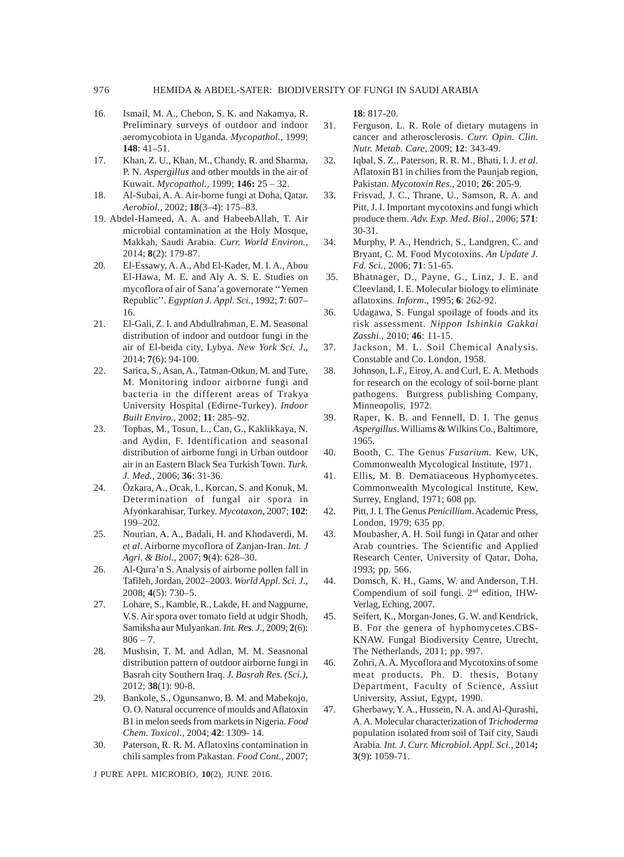- 16. Ismail, M. A., Chebon, S. K. and Nakamya, R. Preliminary surveys of outdoor and indoor aeromycobiota in Uganda. *Mycopathol*., 1999; **148**: 41–51.
- 17. Khan, Z. U., Khan, M., Chandy, R. and Sharma, P. N. *Aspergillus* and other moulds in the air of Kuwait. *Mycopathol.,* 1999; **146:** 25 – 32.
- 18. Al-Subai, A. A. Air-borne fungi at Doha, Qatar. *Aerobiol.,* 2002; **18**(3–4): 175–83.
- 19. Abdel-Hameed, A. A. and HabeebAllah, T. Air microbial contamination at the Holy Mosque, Makkah, Saudi Arabia. *Curr. World Environ.,* 2014; **8**(2): 179-87.
- 20. El-Essawy, A. A., Abd El-Kader, M. I. A., Abou El-Hawa, M. E. and Aly A. S. E. Studies on mycoflora of air of Sana'a governorate ''Yemen Republic''. *Egyptian J. Appl. Sci.,* 1992; **7**: 607– 16.
- 21. El-Gali, Z. I. and Abdullrahman, E. M. Seasonal distribution of indoor and outdoor fungi in the air of El-beida city, Lybya. *New York Sci. J*., 2014; **7**(6): 94-100.
- 22. Sarica, S., Asan, A., Tatman-Otkun, M. and Ture, M. Monitoring indoor airborne fungi and bacteria in the different areas of Trakya University Hospital (Edirne-Turkey). *Indoor Built Enviro.*, 2002; **11**: 285–92.
- 23. Topbas, M., Tosun, L., Can, G., Kaklikkaya, N. and Aydin, F. Identification and seasonal distribution of airborne fungi in Urban outdoor air in an Eastern Black Sea Turkish Town. *Turk. J. Med.*, 2006; **36**: 31-36.
- 24. Õzkara, A., Ocak, I., Korcan, S. and Konuk, M. Determination of fungal air spora in Afyonkarahisar, Turkey. *Mycotaxon*, 2007; **102**: 199–202.
- 25. Nourian, A. A., Badali, H. and Khodaverdi, M. *et al*. Airborne mycoflora of Zanjan-Iran. *Int. J Agri. & Biol.*, 2007; **9**(4): 628–30.
- 26. Al-Qura'n S. Analysis of airborne pollen fall in Tafileh, Jordan, 2002–2003. *World Appl. Sci. J.*, 2008; **4**(5): 730–5.
- 27. Lohare, S., Kamble, R., Lakde, H. and Nagpurne, V.S. Air spora over tomato field at udgir Shodh, Samiksha aur Mulyankan. *Int. Res. J*., 2009; **2**(6):  $806 - 7.$
- 28. Mushsin, T. M. and Adlan, M. M. Seasnonal distribution pattern of outdoor airborne fungi in Basrah city Southern Iraq. *J. Basrah Res. (Sci.),* 2012; **38**(1): 90-8.
- 29. Bankole, S., Ogunsanwo, B. M. and Mabekojo, O. O. Natural occurrence of moulds and Aflatoxin B1 in melon seeds from markets in Nigeria. *Food Chem*. *Toxicol*., 2004; **42**: 1309- 14.
- 30. Paterson, R. R. M. Aflatoxins contamination in chili samples from Pakastan. *Food Cont.,* 2007;

J PURE APPL MICROBIO*,* **10**(2), JUNE 2016.

**18**: 817-20.

- 31. Ferguson, L. R. Role of dietary mutagens in cancer and atherosclerosis. *Curr. Opin. Clin. Nutr. Metab. Care,* 2009; **12**: 343-49.
- 32. Iqbal, S. Z., Paterson, R. R. M., Bhati, I. J. *et al*. Aflatoxin B1 in chilies from the Paunjab region, Pakistan. *Mycotoxin Res*., 2010; **26**: 205-9.
- 33. Frisvad, J. C., Thrane, U., Samson, R. A. and Pitt, J. I. Important mycotoxins and fungi which produce them. *Adv. Exp. Med. Biol*., 2006; **571**: 30-31.
- 34. Murphy, P. A., Hendrich, S., Landgren, C. and Bryant, C. M. Food Mycotoxins. *An Update J. Fd. Sci.,* 2006; **71**: 51-65.
- 35. Bhatnager, D., Payne, G., Linz, J. E. and Cleevland, I. E. Molecular biology to eliminate aflatoxins. *Inform*., 1995; **6**: 262-92.
- 36. Udagawa, S. Fungal spoilage of foods and its risk assessment. *Nippon Ishinkin Gakkai Zasshi*., 2010; **46**: 11-15.
- 37. Jackson, M. L. Soil Chemical Analysis. Constable and Co. London, 1958.
- 38. Johnson, L.F., Eiroy, A. and Curl, E. A. Methods for research on the ecology of soil-borne plant pathogens. Burgress publishing Company, Minneopolis, 1972.
- 39. Raper, K. B. and Fennell, D. I. The genus *Aspergillus*. Williams & Wilkins Co., Baltimore, 1965.
- 40. Booth, C. The Genus *Fusarium*. Kew, UK, Commonwealth Mycological Institute, 1971.
- 41. Ellis, M. B. Dematiaceous Hyphomycetes. Commonwealth Mycological Institute, Kew, Surrey, England, 1971; 608 pp.
- 42. Pitt, J. I. The Genus *Penicillium*. Academic Press, London, 1979; 635 pp.
- 43. Moubasher, A. H. Soil fungi in Qatar and other Arab countries. The Scientific and Applied Research Center, University of Qatar, Doha, 1993; pp. 566.
- 44. Domsch, K. H., Gams, W. and Anderson, T.H. Compendium of soil fungi. 2nd edition, IHW-Verlag, Eching, 2007.
- 45. Seifert, K., Morgan-Jones, G. W. and Kendrick, B. For the genera of hyphomycetes.CBS-KNAW. Fungal Biodiversity Centre, Utrecht, The Netherlands, 2011; pp. 997.
- 46. Zohri, A. A. Mycoflora and Mycotoxins of some meat products. Ph. D. thesis, Botany Department, Faculty of Science, Assiut University, Assiut, Egypt, 1990.
- 47. Gherbawy, Y. A., Hussein, N. A. and Al-Qurashi, A. A. Molecular characterization of *Trichoderma* population isolated from soil of Taif city, Saudi Arabia*. Int. J. Curr. Microbiol. Appl. Sci.*, 2014**; 3**(9): 1059-71.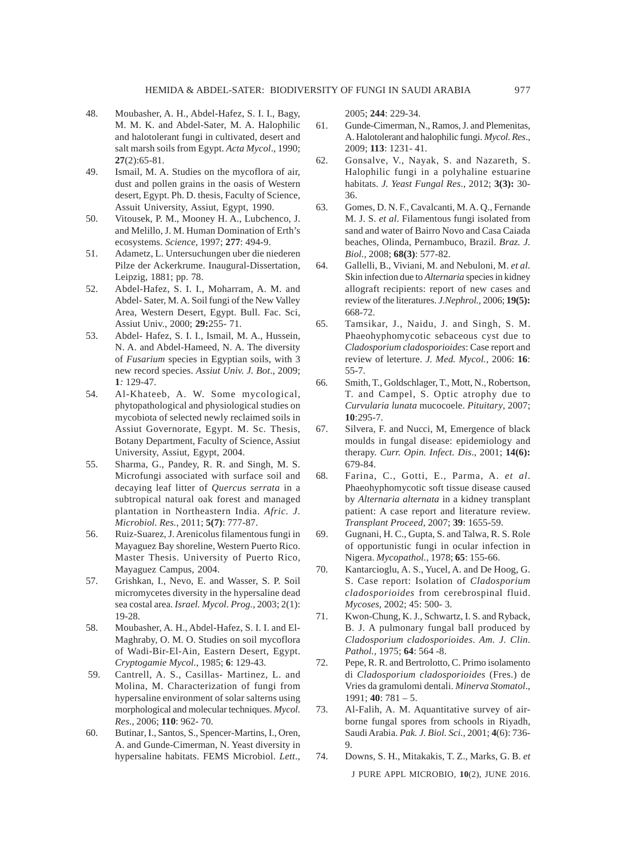- 48. Moubasher, A. H., Abdel-Hafez, S. I. I., Bagy, M. M. K. and Abdel-Sater, M. A. Halophilic and halotolerant fungi in cultivated, desert and salt marsh soils from Egypt. *Acta Mycol*., 1990; **27**(2):65-81.
- 49. Ismail, M. A. Studies on the mycoflora of air, dust and pollen grains in the oasis of Western desert, Egypt. Ph. D. thesis, Faculty of Science, Assuit University, Assiut, Egypt, 1990.
- 50. Vitousek, P. M., Mooney H. A., Lubchenco, J. and Melillo, J. M. Human Domination of Erth's ecosystems. *Science*, 1997; **277**: 494-9.
- 51. Adametz, L. Untersuchungen uber die niederen Pilze der Ackerkrume. Inaugural-Dissertation, Leipzig, 1881; pp. 78.
- 52. Abdel-Hafez, S. I. I., Moharram, A. M. and Abdel- Sater, M. A. Soil fungi of the New Valley Area, Western Desert, Egypt. Bull. Fac. Sci, Assiut Univ., 2000; **29:**255- 71.
- 53. Abdel- Hafez, S. I. I., Ismail, M. A., Hussein, N. A. and Abdel-Hameed, N. A. The diversity of *Fusarium* species in Egyptian soils, with 3 new record species. *Assiut Univ. J. Bot*., 2009; **1***:* 129-47.
- 54. Al-Khateeb, A. W. Some mycological, phytopathological and physiological studies on mycobiota of selected newly reclaimed soils in Assiut Governorate, Egypt. M. Sc. Thesis, Botany Department, Faculty of Science, Assiut University, Assiut, Egypt, 2004.
- 55. Sharma, G., Pandey, R. R. and Singh, M. S. Microfungi associated with surface soil and decaying leaf litter of *Quercus serrata* in a subtropical natural oak forest and managed plantation in Northeastern India. *Afric. J. Microbiol. Res.,* 2011; **5(7)**: 777-87.
- 56. Ruiz-Suarez, J. Arenicolus filamentous fungi in Mayaguez Bay shoreline, Western Puerto Rico. Master Thesis. University of Puerto Rico, Mayaguez Campus, 2004.
- 57. Grishkan, I., Nevo, E. and Wasser, S. P. Soil micromycetes diversity in the hypersaline dead sea costal area. *Israel. Mycol. Prog.,* 2003; 2(1): 19-28.
- 58. Moubasher, A. H., Abdel-Hafez, S. I. I. and El-Maghraby, O. M. O. Studies on soil mycoflora of Wadi-Bir-El-Ain, Eastern Desert, Egypt. *Cryptogamie Mycol.,* 1985; **6**: 129-43.
- 59. Cantrell, A. S., Casillas- Martinez, L. and Molina, M. Characterization of fungi from hypersaline environment of solar salterns using morphological and molecular techniques. *Mycol*. *Res*., 2006; **110**: 962- 70.
- 60. Butinar, I., Santos, S., Spencer-Martins, I., Oren, A. and Gunde-Cimerman, N. Yeast diversity in hypersaline habitats. FEMS Microbiol. *Lett*.,

2005; **244**: 229-34.

- 61. Gunde-Cimerman, N., Ramos, J. and Plemenitas, A. Halotolerant and halophilic fungi. *Mycol*. *Res*., 2009; **113**: 1231- 41.
- 62. Gonsalve, V., Nayak, S. and Nazareth, S. Halophilic fungi in a polyhaline estuarine habitats. *J. Yeast Fungal Res*., 2012; **3(3):** 30- 36.
- 63. Gomes, D. N. F., Cavalcanti, M. A. Q., Fernande M. J. S. *et al*. Filamentous fungi isolated from sand and water of Bairro Novo and Casa Caiada beaches, Olinda, Pernambuco, Brazil. *Braz. J. Biol.,* 2008; **68(3)**: 577-82.
- 64. Gallelli, B., Viviani, M. and Nebuloni, M. *et al.* Skin infection due to *Alternaria* species in kidney allograft recipients: report of new cases and review of the literatures. *J.Nephrol.,* 2006; **19(5):** 668-72.
- 65. Tamsikar, J., Naidu, J. and Singh, S. M. Phaeohyphomycotic sebaceous cyst due to *Cladosporium cladosporioides*: Case report and review of leterture. *J. Med. Mycol.,* 2006: **16**: 55-7.
- 66. Smith, T., Goldschlager, T., Mott, N., Robertson, T. and Campel, S. Optic atrophy due to *Curvularia lunata* mucocoele. *Pituitary*, 2007; **10**:295-7.
- 67. Silvera, F. and Nucci, M, Emergence of black moulds in fungal disease: epidemiology and therapy. *Curr. Opin. Infect. Dis*., 2001; **14(6):** 679-84.
- 68. Farina, C., Gotti, E., Parma, A. *et al*. Phaeohyphomycotic soft tissue disease caused by *Alternaria alternata* in a kidney transplant patient: A case report and literature review. *Transplant Proceed*, 2007; **39**: 1655-59.
- 69. Gugnani, H. C., Gupta, S. and Talwa, R. S. Role of opportunistic fungi in ocular infection in Nigera. *Mycopathol.,* 1978; **65**: 155-66.
- 70. Kantarcioglu, A. S., Yucel, A. and De Hoog, G. S. Case report: Isolation of *Cladosporium cladosporioides* from cerebrospinal fluid. *Mycoses*, 2002; 45: 500- 3.
- 71. Kwon-Chung, K. J., Schwartz, I. S. and Ryback, B. J. A pulmonary fungal ball produced by *Cladosporium cladosporioides*. *Am. J. Clin. Pathol.,* 1975; **64**: 564 -8.
- 72. Pepe, R. R. and Bertrolotto, C. Primo isolamento di *Cladosporium cladosporioides* (Fres.) de Vries da gramulomi dentali. *Minerva Stomatol*., 1991; **40**: 781 – 5.
- 73. Al-Falih, A. M. Aquantitative survey of airborne fungal spores from schools in Riyadh, Saudi Arabia. *Pak. J. Biol. Sci.,* 2001; **4**(6): 736- 9.
- J PURE APPL MICROBIO*,* **10**(2), JUNE 2016. 74. Downs, S. H., Mitakakis, T. Z., Marks, G. B. *et*